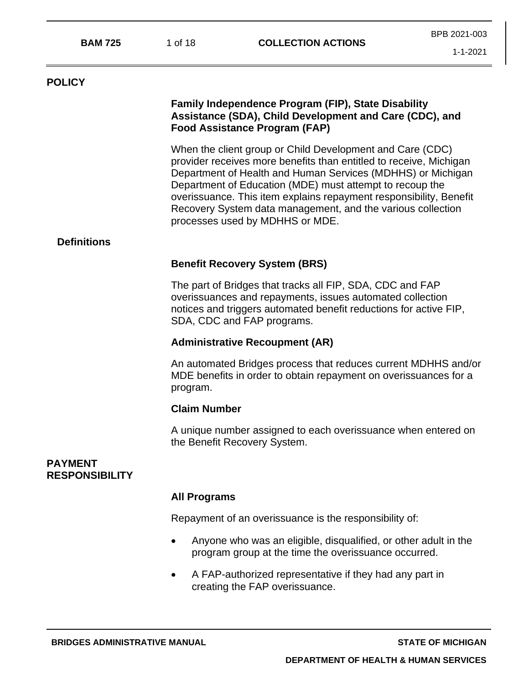| <b>BAM 725</b>                          | 1 of 18                                                                                                                                                                                                                   |                                                                                                                                                                                                                                                                                                                                                                                                                                    | BPB 2021-003   |  |  |  |
|-----------------------------------------|---------------------------------------------------------------------------------------------------------------------------------------------------------------------------------------------------------------------------|------------------------------------------------------------------------------------------------------------------------------------------------------------------------------------------------------------------------------------------------------------------------------------------------------------------------------------------------------------------------------------------------------------------------------------|----------------|--|--|--|
|                                         |                                                                                                                                                                                                                           | <b>COLLECTION ACTIONS</b>                                                                                                                                                                                                                                                                                                                                                                                                          | $1 - 1 - 2021$ |  |  |  |
| <b>POLICY</b>                           |                                                                                                                                                                                                                           |                                                                                                                                                                                                                                                                                                                                                                                                                                    |                |  |  |  |
|                                         |                                                                                                                                                                                                                           | <b>Family Independence Program (FIP), State Disability</b><br>Assistance (SDA), Child Development and Care (CDC), and<br><b>Food Assistance Program (FAP)</b>                                                                                                                                                                                                                                                                      |                |  |  |  |
|                                         |                                                                                                                                                                                                                           | When the client group or Child Development and Care (CDC)<br>provider receives more benefits than entitled to receive, Michigan<br>Department of Health and Human Services (MDHHS) or Michigan<br>Department of Education (MDE) must attempt to recoup the<br>overissuance. This item explains repayment responsibility, Benefit<br>Recovery System data management, and the various collection<br>processes used by MDHHS or MDE. |                |  |  |  |
| <b>Definitions</b>                      |                                                                                                                                                                                                                           |                                                                                                                                                                                                                                                                                                                                                                                                                                    |                |  |  |  |
|                                         |                                                                                                                                                                                                                           | <b>Benefit Recovery System (BRS)</b>                                                                                                                                                                                                                                                                                                                                                                                               |                |  |  |  |
|                                         | The part of Bridges that tracks all FIP, SDA, CDC and FAP<br>overissuances and repayments, issues automated collection<br>notices and triggers automated benefit reductions for active FIP,<br>SDA, CDC and FAP programs. |                                                                                                                                                                                                                                                                                                                                                                                                                                    |                |  |  |  |
|                                         |                                                                                                                                                                                                                           | <b>Administrative Recoupment (AR)</b>                                                                                                                                                                                                                                                                                                                                                                                              |                |  |  |  |
|                                         | program.                                                                                                                                                                                                                  | An automated Bridges process that reduces current MDHHS and/or<br>MDE benefits in order to obtain repayment on overissuances for a                                                                                                                                                                                                                                                                                                 |                |  |  |  |
|                                         |                                                                                                                                                                                                                           | <b>Claim Number</b>                                                                                                                                                                                                                                                                                                                                                                                                                |                |  |  |  |
|                                         |                                                                                                                                                                                                                           | A unique number assigned to each overissuance when entered on<br>the Benefit Recovery System.                                                                                                                                                                                                                                                                                                                                      |                |  |  |  |
| <b>PAYMENT</b><br><b>RESPONSIBILITY</b> |                                                                                                                                                                                                                           |                                                                                                                                                                                                                                                                                                                                                                                                                                    |                |  |  |  |
|                                         | <b>All Programs</b>                                                                                                                                                                                                       |                                                                                                                                                                                                                                                                                                                                                                                                                                    |                |  |  |  |
|                                         |                                                                                                                                                                                                                           | Repayment of an overissuance is the responsibility of:                                                                                                                                                                                                                                                                                                                                                                             |                |  |  |  |
|                                         | $\bullet$                                                                                                                                                                                                                 | Anyone who was an eligible, disqualified, or other adult in the<br>program group at the time the overissuance occurred.                                                                                                                                                                                                                                                                                                            |                |  |  |  |
|                                         |                                                                                                                                                                                                                           | A FAP-authorized representative if they had any part in<br>creating the FAP overissuance.                                                                                                                                                                                                                                                                                                                                          |                |  |  |  |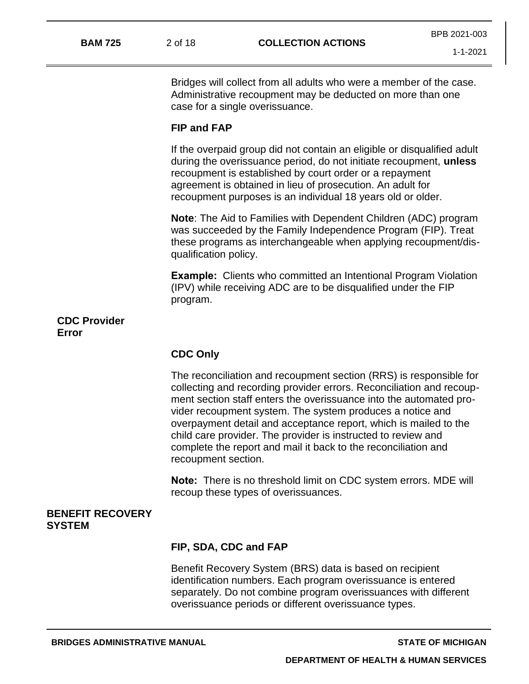|                |         |                           | BPB 2021-003 |
|----------------|---------|---------------------------|--------------|
| <b>BAM 725</b> | 2 of 18 | <b>COLLECTION ACTIONS</b> |              |
|                |         |                           | 1-1-2021     |

Bridges will collect from all adults who were a member of the case. Administrative recoupment may be deducted on more than one case for a single overissuance.

### **FIP and FAP**

If the overpaid group did not contain an eligible or disqualified adult during the overissuance period, do not initiate recoupment, **unless** recoupment is established by court order or a repayment agreement is obtained in lieu of prosecution. An adult for recoupment purposes is an individual 18 years old or older.

**Note**: The Aid to Families with Dependent Children (ADC) program was succeeded by the Family Independence Program (FIP). Treat these programs as interchangeable when applying recoupment/disqualification policy.

**Example:** Clients who committed an Intentional Program Violation (IPV) while receiving ADC are to be disqualified under the FIP program.

**CDC Provider Error**

### **CDC Only**

The reconciliation and recoupment section (RRS) is responsible for collecting and recording provider errors. Reconciliation and recoupment section staff enters the overissuance into the automated provider recoupment system. The system produces a notice and overpayment detail and acceptance report, which is mailed to the child care provider. The provider is instructed to review and complete the report and mail it back to the reconciliation and recoupment section.

**Note:** There is no threshold limit on CDC system errors. MDE will recoup these types of overissuances.

### **BENEFIT RECOVERY SYSTEM**

#### **FIP, SDA, CDC and FAP**

Benefit Recovery System (BRS) data is based on recipient identification numbers. Each program overissuance is entered separately. Do not combine program overissuances with different overissuance periods or different overissuance types.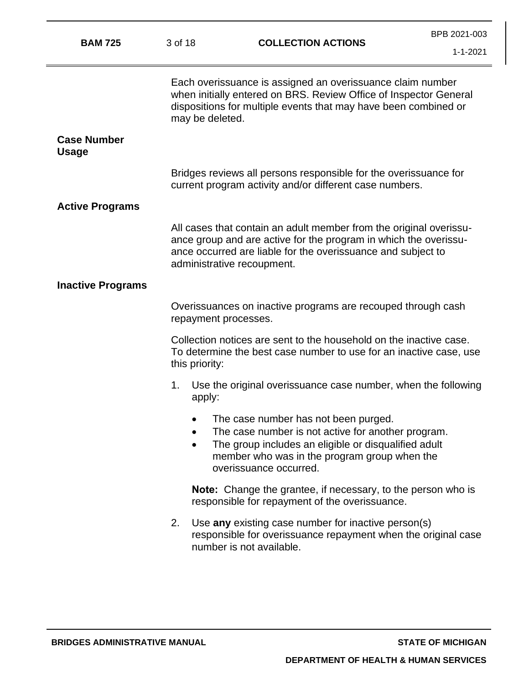| <b>BAM 725</b>                     | 3 of 18                                                                                                                                                    | <b>COLLECTION ACTIONS</b>                                                                                                                                                                                                            | BPB 2021-003<br>$1 - 1 - 2021$ |
|------------------------------------|------------------------------------------------------------------------------------------------------------------------------------------------------------|--------------------------------------------------------------------------------------------------------------------------------------------------------------------------------------------------------------------------------------|--------------------------------|
|                                    | may be deleted.                                                                                                                                            | Each overissuance is assigned an overissuance claim number<br>when initially entered on BRS. Review Office of Inspector General<br>dispositions for multiple events that may have been combined or                                   |                                |
| <b>Case Number</b><br><b>Usage</b> |                                                                                                                                                            |                                                                                                                                                                                                                                      |                                |
|                                    |                                                                                                                                                            | Bridges reviews all persons responsible for the overissuance for<br>current program activity and/or different case numbers.                                                                                                          |                                |
| <b>Active Programs</b>             |                                                                                                                                                            |                                                                                                                                                                                                                                      |                                |
|                                    |                                                                                                                                                            | All cases that contain an adult member from the original overissu-<br>ance group and are active for the program in which the overissu-<br>ance occurred are liable for the overissuance and subject to<br>administrative recoupment. |                                |
| <b>Inactive Programs</b>           |                                                                                                                                                            |                                                                                                                                                                                                                                      |                                |
|                                    | Overissuances on inactive programs are recouped through cash<br>repayment processes.                                                                       |                                                                                                                                                                                                                                      |                                |
|                                    | Collection notices are sent to the household on the inactive case.<br>To determine the best case number to use for an inactive case, use<br>this priority: |                                                                                                                                                                                                                                      |                                |
|                                    | 1.<br>apply:                                                                                                                                               | Use the original overissuance case number, when the following                                                                                                                                                                        |                                |
|                                    |                                                                                                                                                            | The case number has not been purged.<br>The case number is not active for another program.<br>The group includes an eligible or disqualified adult<br>member who was in the program group when the<br>overissuance occurred.         |                                |
|                                    |                                                                                                                                                            | <b>Note:</b> Change the grantee, if necessary, to the person who is<br>responsible for repayment of the overissuance.                                                                                                                |                                |
|                                    | 2.                                                                                                                                                         | Use any existing case number for inactive person(s)<br>responsible for overissuance repayment when the original case<br>number is not available.                                                                                     |                                |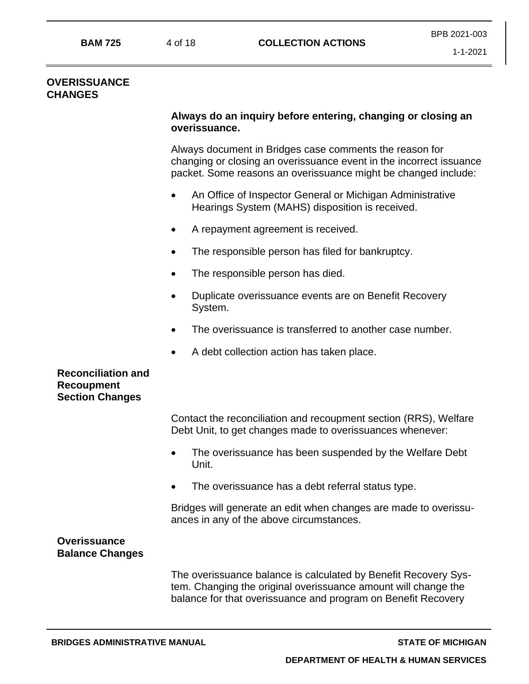### **OVERISSUANCE CHANGES**

## **Always do an inquiry before entering, changing or closing an overissuance.**

Always document in Bridges case comments the reason for changing or closing an overissuance event in the incorrect issuance packet. Some reasons an overissuance might be changed include:

- An Office of Inspector General or Michigan Administrative Hearings System (MAHS) disposition is received.
- A repayment agreement is received.
- The responsible person has filed for bankruptcy.
- The responsible person has died.
- Duplicate overissuance events are on Benefit Recovery System.
- The overissuance is transferred to another case number.
- A debt collection action has taken place.

## **Reconciliation and Recoupment Section Changes**

Contact the reconciliation and recoupment section (RRS), Welfare Debt Unit, to get changes made to overissuances whenever:

- The overissuance has been suspended by the Welfare Debt Unit.
- The overissuance has a debt referral status type.

Bridges will generate an edit when changes are made to overissuances in any of the above circumstances.

## **Overissuance Balance Changes**

The overissuance balance is calculated by Benefit Recovery System. Changing the original overissuance amount will change the balance for that overissuance and program on Benefit Recovery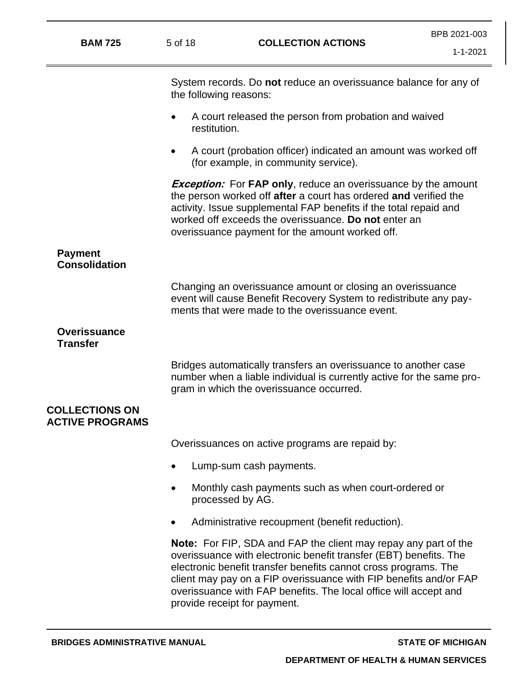| <b>BAM 725</b>                                  | 5 of 18                   | <b>COLLECTION ACTIONS</b>                                                                                                                                                                                                                                                                                                                                                               | BPB 2021-003<br>$1 - 1 - 2021$ |
|-------------------------------------------------|---------------------------|-----------------------------------------------------------------------------------------------------------------------------------------------------------------------------------------------------------------------------------------------------------------------------------------------------------------------------------------------------------------------------------------|--------------------------------|
|                                                 | the following reasons:    | System records. Do not reduce an overissuance balance for any of                                                                                                                                                                                                                                                                                                                        |                                |
|                                                 | $\bullet$<br>restitution. | A court released the person from probation and waived                                                                                                                                                                                                                                                                                                                                   |                                |
|                                                 |                           | A court (probation officer) indicated an amount was worked off<br>(for example, in community service).                                                                                                                                                                                                                                                                                  |                                |
|                                                 |                           | <b>Exception:</b> For FAP only, reduce an overissuance by the amount<br>the person worked off after a court has ordered and verified the<br>activity. Issue supplemental FAP benefits if the total repaid and<br>worked off exceeds the overissuance. Do not enter an<br>overissuance payment for the amount worked off.                                                                |                                |
| <b>Payment</b><br><b>Consolidation</b>          |                           |                                                                                                                                                                                                                                                                                                                                                                                         |                                |
|                                                 |                           | Changing an overissuance amount or closing an overissuance<br>event will cause Benefit Recovery System to redistribute any pay-<br>ments that were made to the overissuance event.                                                                                                                                                                                                      |                                |
| <b>Overissuance</b><br><b>Transfer</b>          |                           |                                                                                                                                                                                                                                                                                                                                                                                         |                                |
|                                                 |                           | Bridges automatically transfers an overissuance to another case<br>number when a liable individual is currently active for the same pro-<br>gram in which the overissuance occurred.                                                                                                                                                                                                    |                                |
| <b>COLLECTIONS ON</b><br><b>ACTIVE PROGRAMS</b> |                           |                                                                                                                                                                                                                                                                                                                                                                                         |                                |
|                                                 |                           | Overissuances on active programs are repaid by:                                                                                                                                                                                                                                                                                                                                         |                                |
|                                                 |                           | Lump-sum cash payments.                                                                                                                                                                                                                                                                                                                                                                 |                                |
|                                                 |                           | Monthly cash payments such as when court-ordered or<br>processed by AG.                                                                                                                                                                                                                                                                                                                 |                                |
|                                                 |                           | Administrative recoupment (benefit reduction).                                                                                                                                                                                                                                                                                                                                          |                                |
|                                                 |                           | <b>Note:</b> For FIP, SDA and FAP the client may repay any part of the<br>overissuance with electronic benefit transfer (EBT) benefits. The<br>electronic benefit transfer benefits cannot cross programs. The<br>client may pay on a FIP overissuance with FIP benefits and/or FAP<br>overissuance with FAP benefits. The local office will accept and<br>provide receipt for payment. |                                |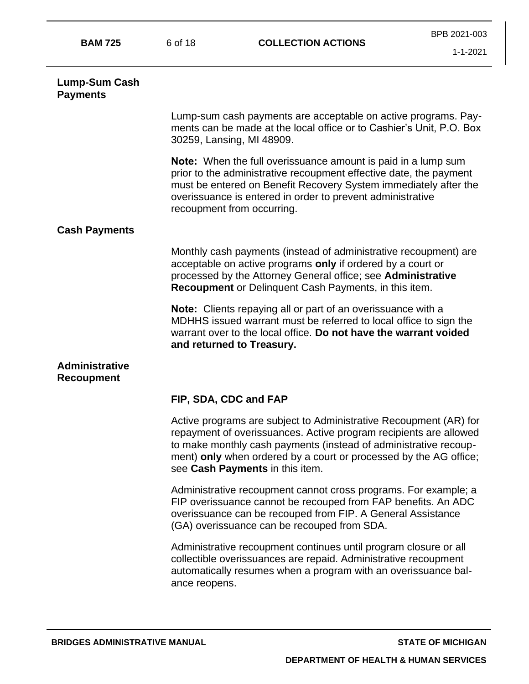| <b>BAM 725</b>                             | 6 of 18                                                                                                                                                                                                                                                                                             | <b>COLLECTION ACTIONS</b>                                                                                                                                                                                                                                                                                          | BPB 2021-003<br>$1 - 1 - 2021$ |
|--------------------------------------------|-----------------------------------------------------------------------------------------------------------------------------------------------------------------------------------------------------------------------------------------------------------------------------------------------------|--------------------------------------------------------------------------------------------------------------------------------------------------------------------------------------------------------------------------------------------------------------------------------------------------------------------|--------------------------------|
| Lump-Sum Cash<br><b>Payments</b>           |                                                                                                                                                                                                                                                                                                     |                                                                                                                                                                                                                                                                                                                    |                                |
|                                            | Lump-sum cash payments are acceptable on active programs. Pay-<br>ments can be made at the local office or to Cashier's Unit, P.O. Box<br>30259, Lansing, MI 48909.                                                                                                                                 |                                                                                                                                                                                                                                                                                                                    |                                |
|                                            | Note: When the full overissuance amount is paid in a lump sum<br>prior to the administrative recoupment effective date, the payment<br>must be entered on Benefit Recovery System immediately after the<br>overissuance is entered in order to prevent administrative<br>recoupment from occurring. |                                                                                                                                                                                                                                                                                                                    |                                |
| <b>Cash Payments</b>                       |                                                                                                                                                                                                                                                                                                     |                                                                                                                                                                                                                                                                                                                    |                                |
|                                            | Monthly cash payments (instead of administrative recoupment) are<br>acceptable on active programs only if ordered by a court or<br>processed by the Attorney General office; see Administrative<br>Recoupment or Delinquent Cash Payments, in this item.                                            |                                                                                                                                                                                                                                                                                                                    |                                |
|                                            | Note: Clients repaying all or part of an overissuance with a<br>MDHHS issued warrant must be referred to local office to sign the<br>warrant over to the local office. Do not have the warrant voided<br>and returned to Treasury.                                                                  |                                                                                                                                                                                                                                                                                                                    |                                |
| <b>Administrative</b><br><b>Recoupment</b> |                                                                                                                                                                                                                                                                                                     |                                                                                                                                                                                                                                                                                                                    |                                |
|                                            |                                                                                                                                                                                                                                                                                                     | FIP, SDA, CDC and FAP                                                                                                                                                                                                                                                                                              |                                |
|                                            |                                                                                                                                                                                                                                                                                                     | Active programs are subject to Administrative Recoupment (AR) for<br>repayment of overissuances. Active program recipients are allowed<br>to make monthly cash payments (instead of administrative recoup-<br>ment) only when ordered by a court or processed by the AG office;<br>see Cash Payments in this item. |                                |
|                                            |                                                                                                                                                                                                                                                                                                     | Administrative recoupment cannot cross programs. For example; a<br>FIP overissuance cannot be recouped from FAP benefits. An ADC<br>overissuance can be recouped from FIP. A General Assistance<br>(GA) overissuance can be recouped from SDA.                                                                     |                                |
|                                            | ance reopens.                                                                                                                                                                                                                                                                                       | Administrative recoupment continues until program closure or all<br>collectible overissuances are repaid. Administrative recoupment<br>automatically resumes when a program with an overissuance bal-                                                                                                              |                                |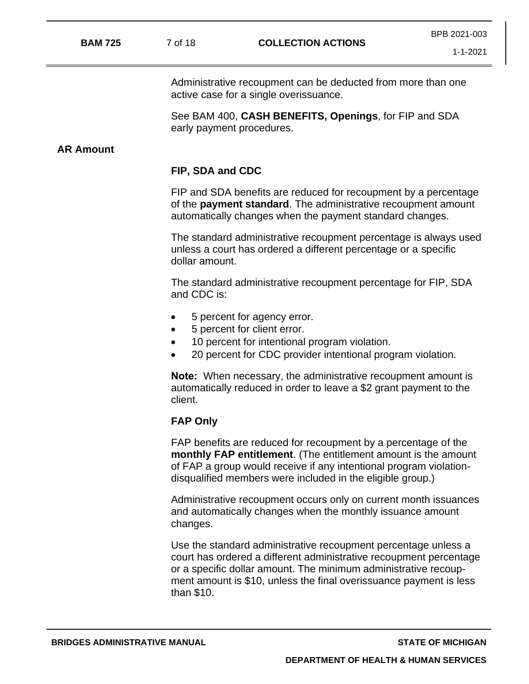Administrative recoupment can be deducted from more than one active case for a single overissuance.

See BAM 400, **CASH BENEFITS, Openings**, for FIP and SDA early payment procedures.

## **AR Amount**

### **FIP, SDA and CDC**

FIP and SDA benefits are reduced for recoupment by a percentage of the **payment standard**. The administrative recoupment amount automatically changes when the payment standard changes.

The standard administrative recoupment percentage is always used unless a court has ordered a different percentage or a specific dollar amount.

The standard administrative recoupment percentage for FIP, SDA and CDC is:

- 5 percent for agency error.
- 5 percent for client error.
- 10 percent for intentional program violation.
- 20 percent for CDC provider intentional program violation.

**Note:** When necessary, the administrative recoupment amount is automatically reduced in order to leave a \$2 grant payment to the client.

#### **FAP Only**

FAP benefits are reduced for recoupment by a percentage of the **monthly FAP entitlement**. (The entitlement amount is the amount of FAP a group would receive if any intentional program violationdisqualified members were included in the eligible group.)

Administrative recoupment occurs only on current month issuances and automatically changes when the monthly issuance amount changes.

Use the standard administrative recoupment percentage unless a court has ordered a different administrative recoupment percentage or a specific dollar amount. The minimum administrative recoupment amount is \$10, unless the final overissuance payment is less than \$10.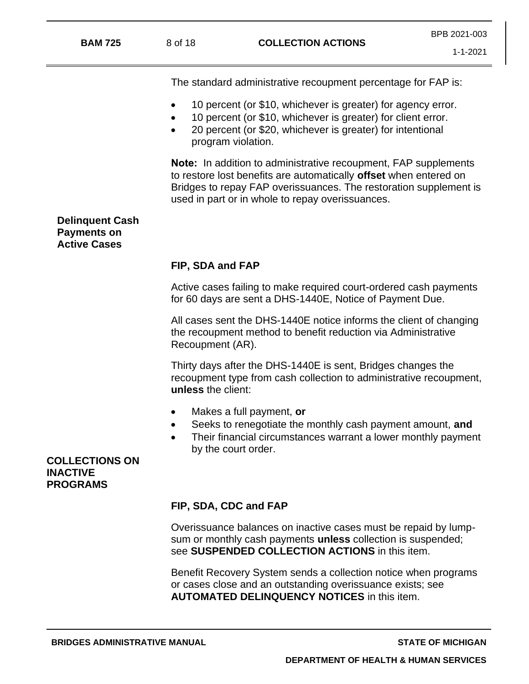1-1-2021

The standard administrative recoupment percentage for FAP is:

- 10 percent (or \$10, whichever is greater) for agency error.
- 10 percent (or \$10, whichever is greater) for client error.
- 20 percent (or \$20, whichever is greater) for intentional program violation.

**Note:** In addition to administrative recoupment, FAP supplements to restore lost benefits are automatically **offset** when entered on Bridges to repay FAP overissuances. The restoration supplement is used in part or in whole to repay overissuances.

# **Delinquent Cash Payments on Active Cases**

# **FIP, SDA and FAP**

Active cases failing to make required court-ordered cash payments for 60 days are sent a DHS-1440E, Notice of Payment Due.

All cases sent the DHS-1440E notice informs the client of changing the recoupment method to benefit reduction via Administrative Recoupment (AR).

Thirty days after the DHS-1440E is sent, Bridges changes the recoupment type from cash collection to administrative recoupment, **unless** the client:

- Makes a full payment, **or**
- Seeks to renegotiate the monthly cash payment amount, **and**
- Their financial circumstances warrant a lower monthly payment by the court order.

**COLLECTIONS ON INACTIVE PROGRAMS**

# **FIP, SDA, CDC and FAP**

Overissuance balances on inactive cases must be repaid by lumpsum or monthly cash payments **unless** collection is suspended; see **SUSPENDED COLLECTION ACTIONS** in this item.

Benefit Recovery System sends a collection notice when programs or cases close and an outstanding overissuance exists; see **AUTOMATED DELINQUENCY NOTICES** in this item.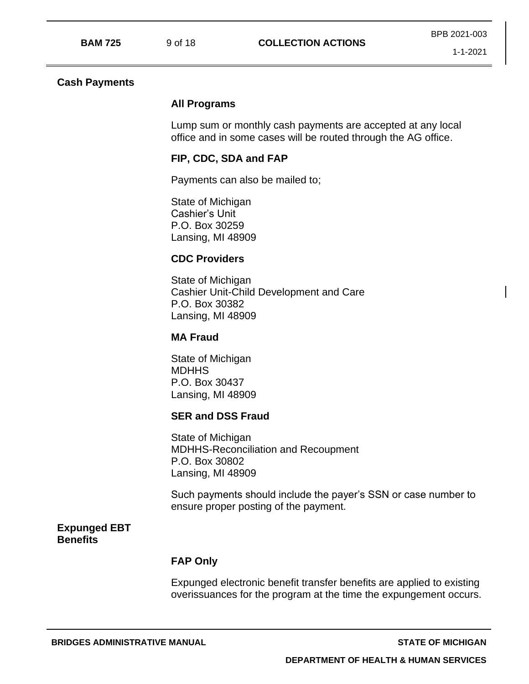#### **Cash Payments**

### **All Programs**

Lump sum or monthly cash payments are accepted at any local office and in some cases will be routed through the AG office.

### **FIP, CDC, SDA and FAP**

Payments can also be mailed to;

State of Michigan Cashier's Unit P.O. Box 30259 Lansing, MI 48909

### **CDC Providers**

State of Michigan Cashier Unit-Child Development and Care P.O. Box 30382 Lansing, MI 48909

### **MA Fraud**

State of Michigan **MDHHS** P.O. Box 30437 Lansing, MI 48909

#### **SER and DSS Fraud**

State of Michigan MDHHS-Reconciliation and Recoupment P.O. Box 30802 Lansing, MI 48909

Such payments should include the payer's SSN or case number to ensure proper posting of the payment.

### **Expunged EBT Benefits**

### **FAP Only**

Expunged electronic benefit transfer benefits are applied to existing overissuances for the program at the time the expungement occurs.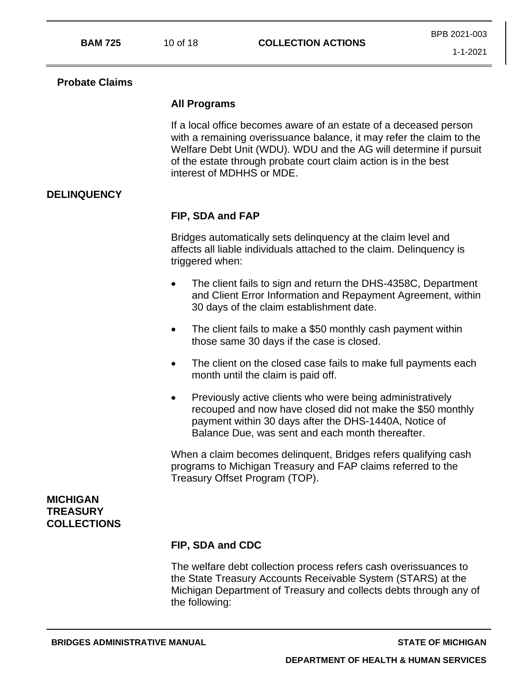## **Probate Claims**

## **All Programs**

If a local office becomes aware of an estate of a deceased person with a remaining overissuance balance, it may refer the claim to the Welfare Debt Unit (WDU). WDU and the AG will determine if pursuit of the estate through probate court claim action is in the best interest of MDHHS or MDE.

# **DELINQUENCY**

# **FIP, SDA and FAP**

Bridges automatically sets delinquency at the claim level and affects all liable individuals attached to the claim. Delinquency is triggered when:

- The client fails to sign and return the DHS-4358C, Department and Client Error Information and Repayment Agreement, within 30 days of the claim establishment date.
- The client fails to make a \$50 monthly cash payment within those same 30 days if the case is closed.
- The client on the closed case fails to make full payments each month until the claim is paid off.
- Previously active clients who were being administratively recouped and now have closed did not make the \$50 monthly payment within 30 days after the DHS-1440A, Notice of Balance Due, was sent and each month thereafter.

When a claim becomes delinquent, Bridges refers qualifying cash programs to Michigan Treasury and FAP claims referred to the Treasury Offset Program (TOP).

## **MICHIGAN TREASURY COLLECTIONS**

# **FIP, SDA and CDC**

The welfare debt collection process refers cash overissuances to the State Treasury Accounts Receivable System (STARS) at the Michigan Department of Treasury and collects debts through any of the following: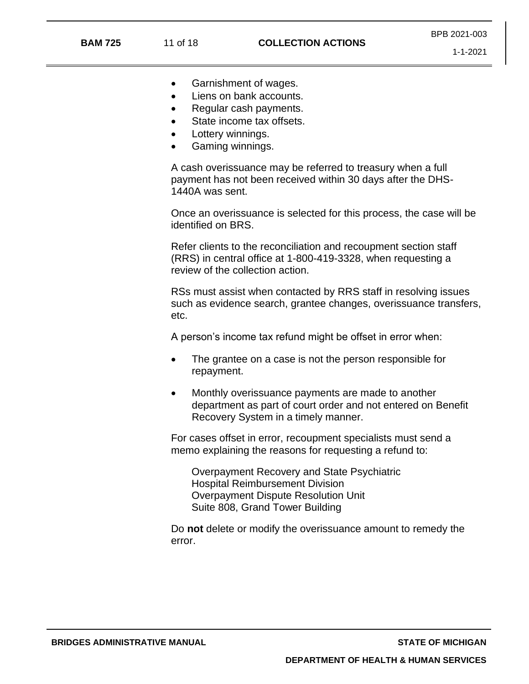- Garnishment of wages.
- Liens on bank accounts.
- Regular cash payments.
- State income tax offsets.
- Lottery winnings.
- Gaming winnings.

A cash overissuance may be referred to treasury when a full payment has not been received within 30 days after the DHS-1440A was sent.

Once an overissuance is selected for this process, the case will be identified on BRS.

Refer clients to the reconciliation and recoupment section staff (RRS) in central office at 1-800-419-3328, when requesting a review of the collection action.

RSs must assist when contacted by RRS staff in resolving issues such as evidence search, grantee changes, overissuance transfers, etc.

A person's income tax refund might be offset in error when:

- The grantee on a case is not the person responsible for repayment.
- Monthly overissuance payments are made to another department as part of court order and not entered on Benefit Recovery System in a timely manner.

For cases offset in error, recoupment specialists must send a memo explaining the reasons for requesting a refund to:

Overpayment Recovery and State Psychiatric Hospital Reimbursement Division Overpayment Dispute Resolution Unit Suite 808, Grand Tower Building

Do **not** delete or modify the overissuance amount to remedy the error.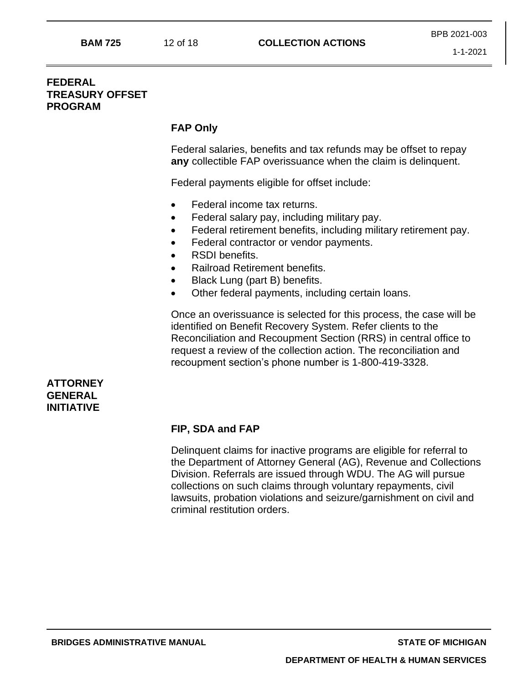# **FEDERAL TREASURY OFFSET PROGRAM**

## **FAP Only**

Federal salaries, benefits and tax refunds may be offset to repay **any** collectible FAP overissuance when the claim is delinquent.

Federal payments eligible for offset include:

- Federal income tax returns.
- Federal salary pay, including military pay.
- Federal retirement benefits, including military retirement pay.
- Federal contractor or vendor payments.
- RSDI benefits.
- Railroad Retirement benefits.
- Black Lung (part B) benefits.
- Other federal payments, including certain loans.

Once an overissuance is selected for this process, the case will be identified on Benefit Recovery System. Refer clients to the Reconciliation and Recoupment Section (RRS) in central office to request a review of the collection action. The reconciliation and recoupment section's phone number is 1-800-419-3328.

### **ATTORNEY GENERAL INITIATIVE**

# **FIP, SDA and FAP**

Delinquent claims for inactive programs are eligible for referral to the Department of Attorney General (AG), Revenue and Collections Division. Referrals are issued through WDU. The AG will pursue collections on such claims through voluntary repayments, civil lawsuits, probation violations and seizure/garnishment on civil and criminal restitution orders.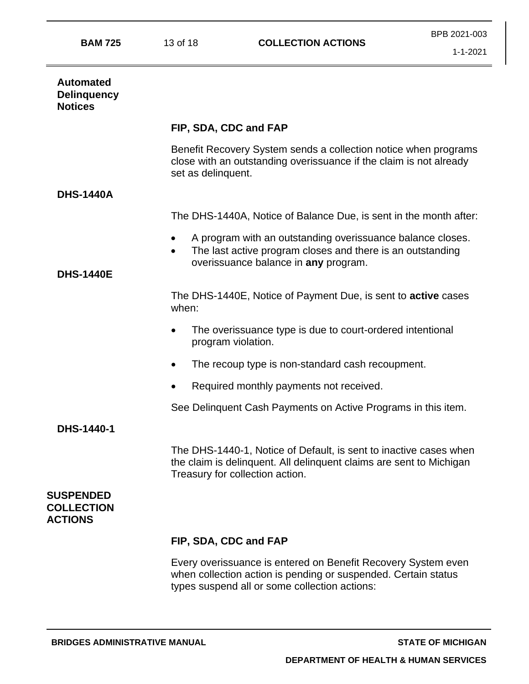| <b>BAM 725</b> |  |
|----------------|--|
|----------------|--|

| <b>Automated</b><br><b>Delinquency</b><br><b>Notices</b> |                                                                                                                                                                                            |
|----------------------------------------------------------|--------------------------------------------------------------------------------------------------------------------------------------------------------------------------------------------|
|                                                          | FIP, SDA, CDC and FAP                                                                                                                                                                      |
|                                                          | Benefit Recovery System sends a collection notice when programs<br>close with an outstanding overissuance if the claim is not already<br>set as delinquent.                                |
| <b>DHS-1440A</b>                                         |                                                                                                                                                                                            |
|                                                          | The DHS-1440A, Notice of Balance Due, is sent in the month after:                                                                                                                          |
| <b>DHS-1440E</b>                                         | A program with an outstanding overissuance balance closes.<br>$\bullet$<br>The last active program closes and there is an outstanding<br>$\bullet$<br>overissuance balance in any program. |
|                                                          | The DHS-1440E, Notice of Payment Due, is sent to <b>active</b> cases<br>when:                                                                                                              |
|                                                          | The overissuance type is due to court-ordered intentional<br>$\bullet$<br>program violation.                                                                                               |
|                                                          | The recoup type is non-standard cash recoupment.                                                                                                                                           |
|                                                          | Required monthly payments not received.                                                                                                                                                    |
|                                                          | See Delinquent Cash Payments on Active Programs in this item.                                                                                                                              |
| DHS-1440-1                                               |                                                                                                                                                                                            |
|                                                          | The DHS-1440-1, Notice of Default, is sent to inactive cases when<br>the claim is delinquent. All delinquent claims are sent to Michigan<br>Treasury for collection action.                |
| <b>SUSPENDED</b><br><b>COLLECTION</b><br><b>ACTIONS</b>  |                                                                                                                                                                                            |
|                                                          | FIP, SDA, CDC and FAP                                                                                                                                                                      |
|                                                          | Every overissuance is entered on Benefit Recovery System even<br>when collection action is pending or suspended. Certain status<br>types suspend all or some collection actions:           |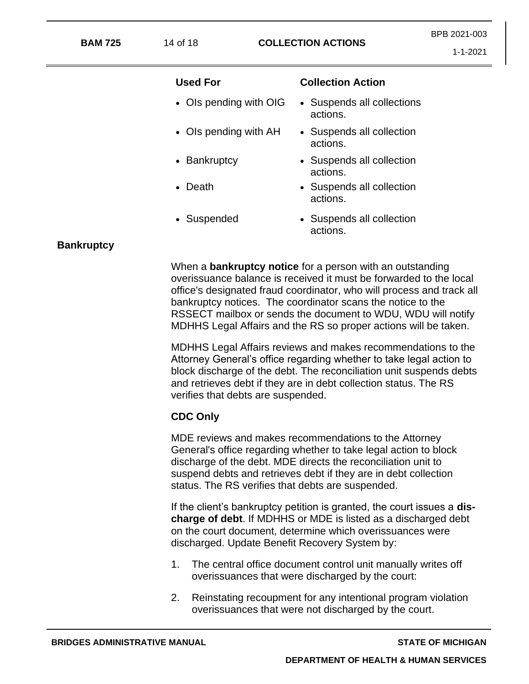| <b>BAM 725</b>    |                        | <b>COLLECTION ACTIONS</b><br>14 of 18                                                                                                  |  |  |
|-------------------|------------------------|----------------------------------------------------------------------------------------------------------------------------------------|--|--|
|                   | <b>Used For</b>        | <b>Collection Action</b>                                                                                                               |  |  |
|                   | • Ols pending with OIG | • Suspends all collections<br>actions.                                                                                                 |  |  |
|                   | • Ols pending with AH  | • Suspends all collection<br>actions.                                                                                                  |  |  |
|                   | • Bankruptcy           | • Suspends all collection<br>actions.                                                                                                  |  |  |
|                   | • Death                | • Suspends all collection<br>actions.                                                                                                  |  |  |
|                   | • Suspended            | • Suspends all collection<br>actions.                                                                                                  |  |  |
| <b>Bankruptcy</b> |                        |                                                                                                                                        |  |  |
|                   |                        | When a <b>bankruptcy notice</b> for a person with an outstanding<br>overissuance balance is received it must be forwarded to the local |  |  |

verifies that debts are suspended.

**CDC Only**

office's designated fraud coordinator, who will process and track all

RSSECT mailbox or sends the document to WDU, WDU will notify MDHHS Legal Affairs and the RS so proper actions will be taken.

MDHHS Legal Affairs reviews and makes recommendations to the Attorney General's office regarding whether to take legal action to block discharge of the debt. The reconciliation unit suspends debts and retrieves debt if they are in debt collection status. The RS

bankruptcy notices. The coordinator scans the notice to the

MDE reviews and makes recommendations to the Attorney General's office regarding whether to take legal action to block discharge of the debt. MDE directs the reconciliation unit to suspend debts and retrieves debt if they are in debt collection

If the client's bankruptcy petition is granted, the court issues a **discharge of debt**. If MDHHS or MDE is listed as a discharged debt on the court document, determine which overissuances were

1. The central office document control unit manually writes off

2. Reinstating recoupment for any intentional program violation overissuances that were not discharged by the court.

overissuances that were discharged by the court:

status. The RS verifies that debts are suspended.

discharged. Update Benefit Recovery System by:

**BRIDGES ADMINISTRATIVE MANUAL STATE OF MICHIGAN**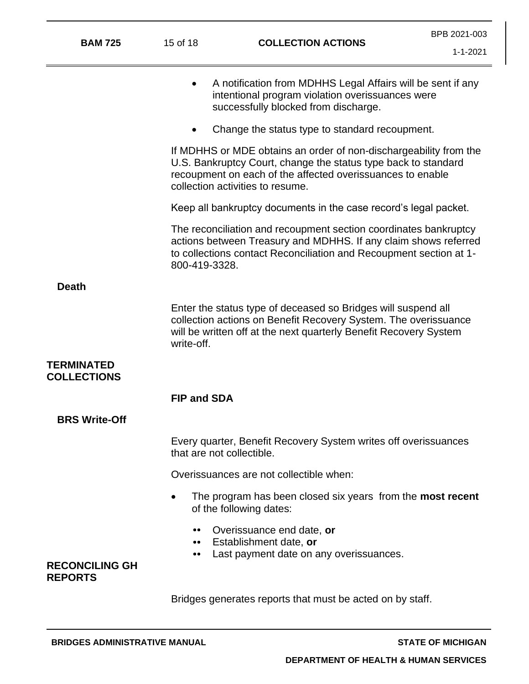| <b>BAM 725</b>                          | 15 of 18<br><b>COLLECTION ACTIONS</b>                                                        |                                                                                                                                                                                                                                       | BPB 2021-003<br>$1 - 1 - 2021$ |
|-----------------------------------------|----------------------------------------------------------------------------------------------|---------------------------------------------------------------------------------------------------------------------------------------------------------------------------------------------------------------------------------------|--------------------------------|
|                                         |                                                                                              |                                                                                                                                                                                                                                       |                                |
|                                         | $\bullet$                                                                                    | A notification from MDHHS Legal Affairs will be sent if any<br>intentional program violation overissuances were<br>successfully blocked from discharge.                                                                               |                                |
|                                         |                                                                                              | Change the status type to standard recoupment.                                                                                                                                                                                        |                                |
|                                         |                                                                                              | If MDHHS or MDE obtains an order of non-dischargeability from the<br>U.S. Bankruptcy Court, change the status type back to standard<br>recoupment on each of the affected overissuances to enable<br>collection activities to resume. |                                |
|                                         |                                                                                              | Keep all bankruptcy documents in the case record's legal packet.                                                                                                                                                                      |                                |
|                                         | 800-419-3328.                                                                                | The reconciliation and recoupment section coordinates bankruptcy<br>actions between Treasury and MDHHS. If any claim shows referred<br>to collections contact Reconciliation and Recoupment section at 1-                             |                                |
| <b>Death</b>                            |                                                                                              |                                                                                                                                                                                                                                       |                                |
|                                         | write-off.                                                                                   | Enter the status type of deceased so Bridges will suspend all<br>collection actions on Benefit Recovery System. The overissuance<br>will be written off at the next quarterly Benefit Recovery System                                 |                                |
| <b>TERMINATED</b><br><b>COLLECTIONS</b> |                                                                                              |                                                                                                                                                                                                                                       |                                |
|                                         | <b>FIP and SDA</b>                                                                           |                                                                                                                                                                                                                                       |                                |
| <b>BRS Write-Off</b>                    |                                                                                              |                                                                                                                                                                                                                                       |                                |
|                                         | Every quarter, Benefit Recovery System writes off overissuances<br>that are not collectible. |                                                                                                                                                                                                                                       |                                |
|                                         | Overissuances are not collectible when:                                                      |                                                                                                                                                                                                                                       |                                |
|                                         | $\bullet$                                                                                    | The program has been closed six years from the <b>most recent</b><br>of the following dates:                                                                                                                                          |                                |
| <b>RECONCILING GH</b><br><b>REPORTS</b> | <br><br>                                                                                     | Overissuance end date, or<br>Establishment date, or<br>Last payment date on any overissuances.                                                                                                                                        |                                |
|                                         |                                                                                              | Bridges generates reports that must be acted on by staff.                                                                                                                                                                             |                                |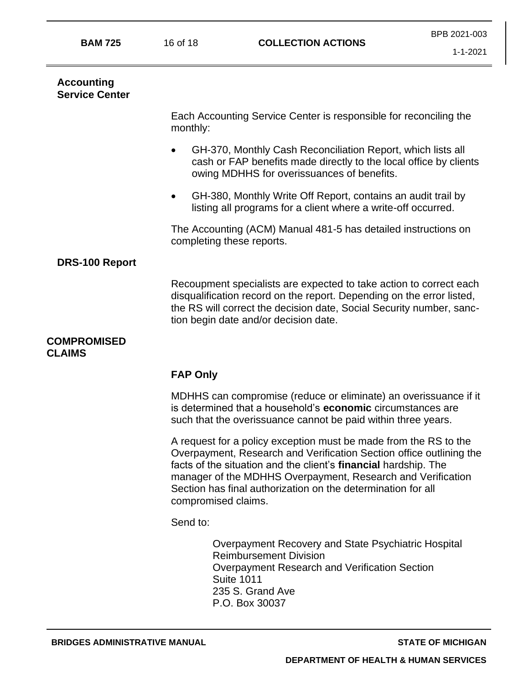| <b>BAM 725</b>                             | 16 of 18            | <b>COLLECTION ACTIONS</b>                                                                                                                                                                                                                                                                                                                 | DE D'ZUZ I-UUJ<br>1-1-2021 |
|--------------------------------------------|---------------------|-------------------------------------------------------------------------------------------------------------------------------------------------------------------------------------------------------------------------------------------------------------------------------------------------------------------------------------------|----------------------------|
| <b>Accounting</b><br><b>Service Center</b> |                     |                                                                                                                                                                                                                                                                                                                                           |                            |
|                                            | monthly:            | Each Accounting Service Center is responsible for reconciling the                                                                                                                                                                                                                                                                         |                            |
|                                            |                     | GH-370, Monthly Cash Reconciliation Report, which lists all<br>cash or FAP benefits made directly to the local office by clients<br>owing MDHHS for overissuances of benefits.                                                                                                                                                            |                            |
|                                            |                     | GH-380, Monthly Write Off Report, contains an audit trail by<br>listing all programs for a client where a write-off occurred.                                                                                                                                                                                                             |                            |
|                                            |                     | The Accounting (ACM) Manual 481-5 has detailed instructions on<br>completing these reports.                                                                                                                                                                                                                                               |                            |
| <b>DRS-100 Report</b>                      |                     |                                                                                                                                                                                                                                                                                                                                           |                            |
|                                            |                     | Recoupment specialists are expected to take action to correct each<br>disqualification record on the report. Depending on the error listed,<br>the RS will correct the decision date, Social Security number, sanc-<br>tion begin date and/or decision date.                                                                              |                            |
| <b>COMPROMISED</b><br><b>CLAIMS</b>        |                     |                                                                                                                                                                                                                                                                                                                                           |                            |
|                                            | <b>FAP Only</b>     |                                                                                                                                                                                                                                                                                                                                           |                            |
|                                            |                     | MDHHS can compromise (reduce or eliminate) an overissuance if it<br>is determined that a household's economic circumstances are<br>such that the overissuance cannot be paid within three years.                                                                                                                                          |                            |
|                                            | compromised claims. | A request for a policy exception must be made from the RS to the<br>Overpayment, Research and Verification Section office outlining the<br>facts of the situation and the client's financial hardship. The<br>manager of the MDHHS Overpayment, Research and Verification<br>Section has final authorization on the determination for all |                            |
|                                            | Send to:            |                                                                                                                                                                                                                                                                                                                                           |                            |
|                                            |                     | Overpayment Recovery and State Psychiatric Hospital<br><b>Reimbursement Division</b><br>Overpayment Research and Verification Section<br><b>Suite 1011</b><br>235 S. Grand Ave<br>P.O. Box 30037                                                                                                                                          |                            |

BPB 2021-003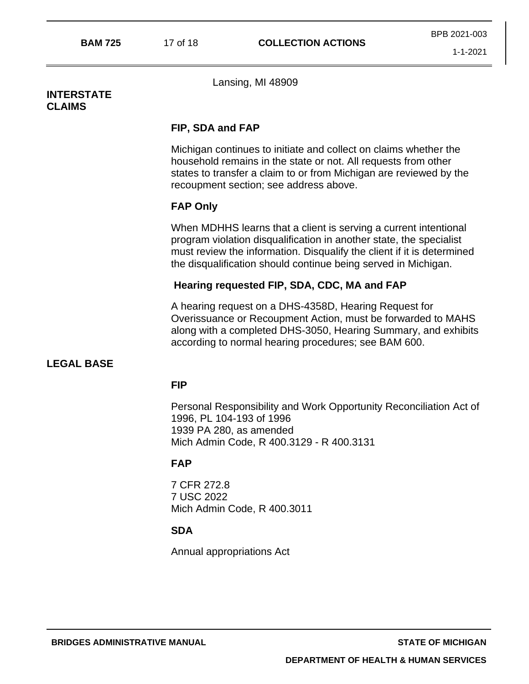### **INTERSTATE CLAIMS**

Lansing, MI 48909

## **FIP, SDA and FAP**

Michigan continues to initiate and collect on claims whether the household remains in the state or not. All requests from other states to transfer a claim to or from Michigan are reviewed by the recoupment section; see address above.

# **FAP Only**

When MDHHS learns that a client is serving a current intentional program violation disqualification in another state, the specialist must review the information. Disqualify the client if it is determined the disqualification should continue being served in Michigan.

# **Hearing requested FIP, SDA, CDC, MA and FAP**

A hearing request on a DHS-4358D, Hearing Request for Overissuance or Recoupment Action, must be forwarded to MAHS along with a completed DHS-3050, Hearing Summary, and exhibits according to normal hearing procedures; see BAM 600.

# **LEGAL BASE**

# **FIP**

Personal Responsibility and Work Opportunity Reconciliation Act of 1996, PL 104-193 of 1996 1939 PA 280, as amended Mich Admin Code, R 400.3129 - R 400.3131

# **FAP**

7 CFR 272.8 7 USC 2022 Mich Admin Code, R 400.3011

# **SDA**

Annual appropriations Act